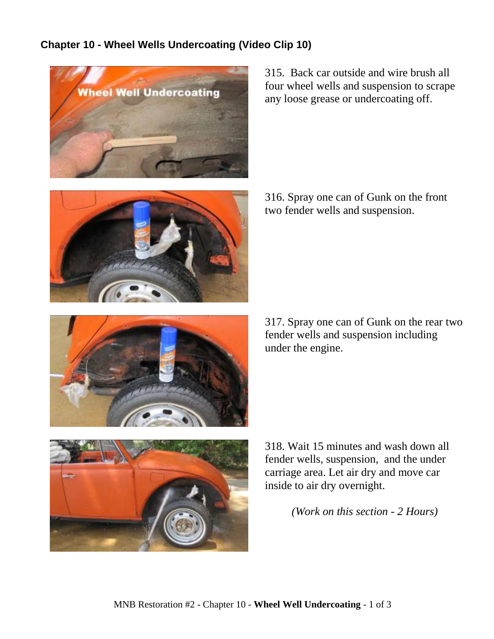## **Chapter 10 - Wheel Wells Undercoating (Video Clip 10)**



315. Back car outside and wire brush all four wheel wells and suspension to scrape any loose grease or undercoating off.

316. Spray one can of Gunk on the front two fender wells and suspension.

317. Spray one can of Gunk on the rear two fender wells and suspension including under the engine.



318. Wait 15 minutes and wash down all fender wells, suspension, and the under carriage area. Let air dry and move car inside to air dry overnight.

*(Work on this section - 2 Hours)*

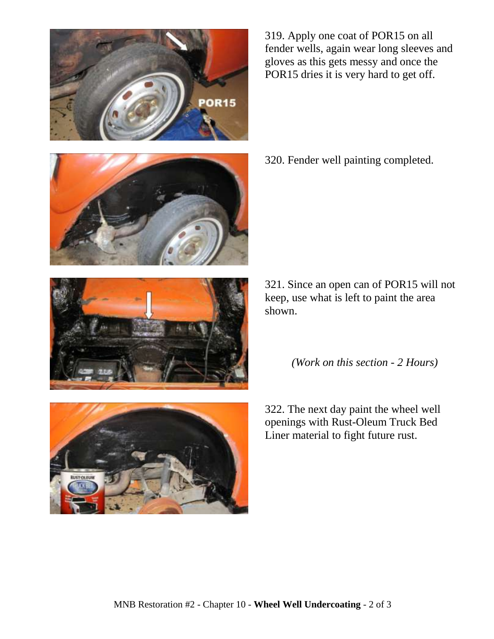

319. Apply one coat of POR15 on all fender wells, again wear long sleeves and gloves as this gets messy and once the POR15 dries it is very hard to get off.







```
(Work on this section - 2 Hours)
```
322. The next day paint the wheel well openings with Rust-Oleum Truck Bed Liner material to fight future rust.